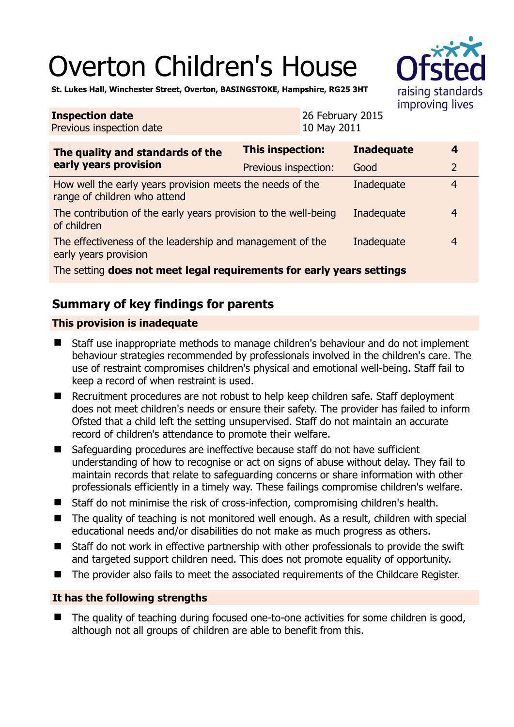# Overton Children's House

raising standards improving lives

**St. Lukes Hall, Winchester Street, Overton, BASINGSTOKE, Hampshire, RG25 3HT** 

#### **Inspection date** Previous inspection date

26 February 2015 10 May 2011

| The quality and standards of the<br>early years provision                                 | <b>This inspection:</b> | <b>Inadequate</b> | 4              |
|-------------------------------------------------------------------------------------------|-------------------------|-------------------|----------------|
|                                                                                           | Previous inspection:    | Good              | $\overline{2}$ |
| How well the early years provision meets the needs of the<br>range of children who attend |                         | Inadequate        | $\overline{4}$ |
| The contribution of the early years provision to the well-being<br>of children            |                         | Inadequate        | $\overline{4}$ |
| The effectiveness of the leadership and management of the<br>early years provision        |                         | Inadequate        | $\overline{4}$ |
| The setting does not meet legal requirements for early years settings                     |                         |                   |                |

## **Summary of key findings for parents**

### **This provision is inadequate**

- Staff use inappropriate methods to manage children's behaviour and do not implement behaviour strategies recommended by professionals involved in the children's care. The use of restraint compromises children's physical and emotional well-being. Staff fail to keep a record of when restraint is used.
- Recruitment procedures are not robust to help keep children safe. Staff deployment does not meet children's needs or ensure their safety. The provider has failed to inform Ofsted that a child left the setting unsupervised. Staff do not maintain an accurate record of children's attendance to promote their welfare.
- Safeguarding procedures are ineffective because staff do not have sufficient understanding of how to recognise or act on signs of abuse without delay. They fail to maintain records that relate to safeguarding concerns or share information with other professionals efficiently in a timely way. These failings compromise children's welfare.
- Staff do not minimise the risk of cross-infection, compromising children's health.
- The quality of teaching is not monitored well enough. As a result, children with special educational needs and/or disabilities do not make as much progress as others.
- Staff do not work in effective partnership with other professionals to provide the swift and targeted support children need. This does not promote equality of opportunity.
- The provider also fails to meet the associated requirements of the Childcare Register.

#### **It has the following strengths**

 The quality of teaching during focused one-to-one activities for some children is good, although not all groups of children are able to benefit from this.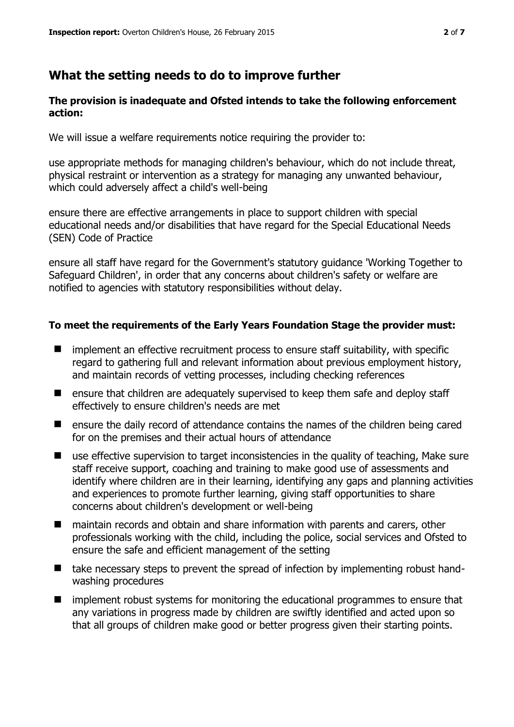## **What the setting needs to do to improve further**

#### **The provision is inadequate and Ofsted intends to take the following enforcement action:**

We will issue a welfare requirements notice requiring the provider to:

use appropriate methods for managing children's behaviour, which do not include threat, physical restraint or intervention as a strategy for managing any unwanted behaviour, which could adversely affect a child's well-being

ensure there are effective arrangements in place to support children with special educational needs and/or disabilities that have regard for the Special Educational Needs (SEN) Code of Practice

ensure all staff have regard for the Government's statutory guidance 'Working Together to Safeguard Children', in order that any concerns about children's safety or welfare are notified to agencies with statutory responsibilities without delay.

#### **To meet the requirements of the Early Years Foundation Stage the provider must:**

- $\blacksquare$  implement an effective recruitment process to ensure staff suitability, with specific regard to gathering full and relevant information about previous employment history, and maintain records of vetting processes, including checking references
- **E** ensure that children are adequately supervised to keep them safe and deploy staff effectively to ensure children's needs are met
- ensure the daily record of attendance contains the names of the children being cared for on the premises and their actual hours of attendance
- use effective supervision to target inconsistencies in the quality of teaching, Make sure staff receive support, coaching and training to make good use of assessments and identify where children are in their learning, identifying any gaps and planning activities and experiences to promote further learning, giving staff opportunities to share concerns about children's development or well-being
- maintain records and obtain and share information with parents and carers, other professionals working with the child, including the police, social services and Ofsted to ensure the safe and efficient management of the setting
- take necessary steps to prevent the spread of infection by implementing robust handwashing procedures
- **I** implement robust systems for monitoring the educational programmes to ensure that any variations in progress made by children are swiftly identified and acted upon so that all groups of children make good or better progress given their starting points.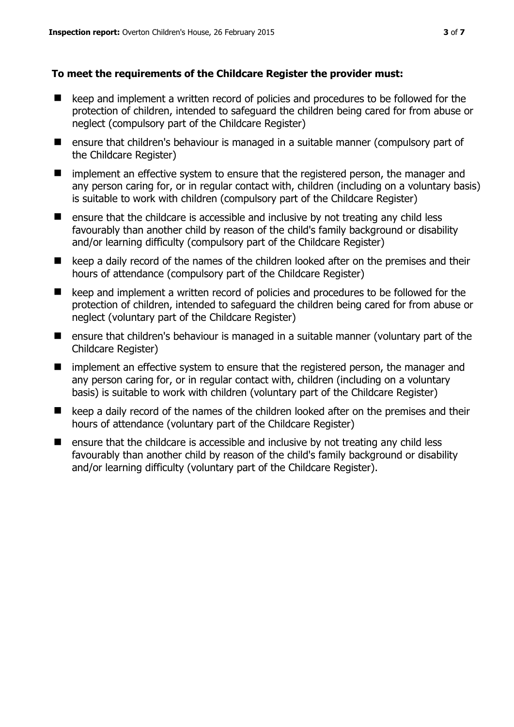#### **To meet the requirements of the Childcare Register the provider must:**

- keep and implement a written record of policies and procedures to be followed for the protection of children, intended to safeguard the children being cared for from abuse or neglect (compulsory part of the Childcare Register)
- ensure that children's behaviour is managed in a suitable manner (compulsory part of the Childcare Register)
- **I** implement an effective system to ensure that the registered person, the manager and any person caring for, or in regular contact with, children (including on a voluntary basis) is suitable to work with children (compulsory part of the Childcare Register)
- ensure that the childcare is accessible and inclusive by not treating any child less favourably than another child by reason of the child's family background or disability and/or learning difficulty (compulsory part of the Childcare Register)
- keep a daily record of the names of the children looked after on the premises and their hours of attendance (compulsory part of the Childcare Register)
- keep and implement a written record of policies and procedures to be followed for the protection of children, intended to safeguard the children being cared for from abuse or neglect (voluntary part of the Childcare Register)
- ensure that children's behaviour is managed in a suitable manner (voluntary part of the Childcare Register)
- **I** implement an effective system to ensure that the registered person, the manager and any person caring for, or in regular contact with, children (including on a voluntary basis) is suitable to work with children (voluntary part of the Childcare Register)
- keep a daily record of the names of the children looked after on the premises and their hours of attendance (voluntary part of the Childcare Register)
- $\blacksquare$  ensure that the childcare is accessible and inclusive by not treating any child less favourably than another child by reason of the child's family background or disability and/or learning difficulty (voluntary part of the Childcare Register).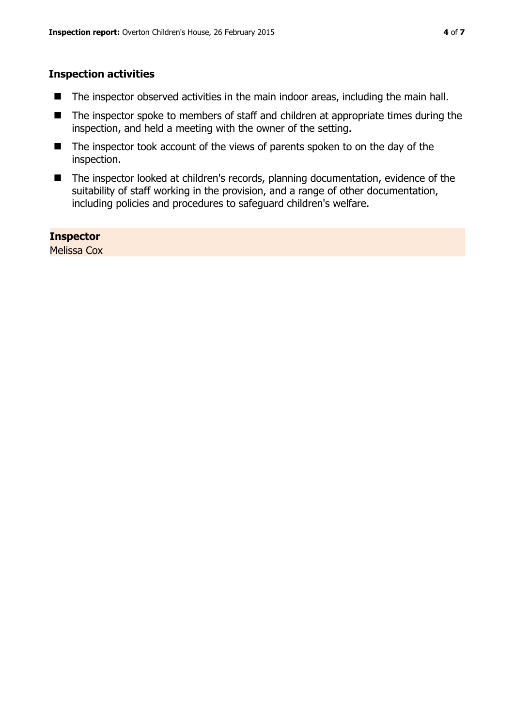#### **Inspection activities**

- The inspector observed activities in the main indoor areas, including the main hall.
- The inspector spoke to members of staff and children at appropriate times during the inspection, and held a meeting with the owner of the setting.
- The inspector took account of the views of parents spoken to on the day of the inspection.
- The inspector looked at children's records, planning documentation, evidence of the suitability of staff working in the provision, and a range of other documentation, including policies and procedures to safeguard children's welfare.

#### **Inspector**

Melissa Cox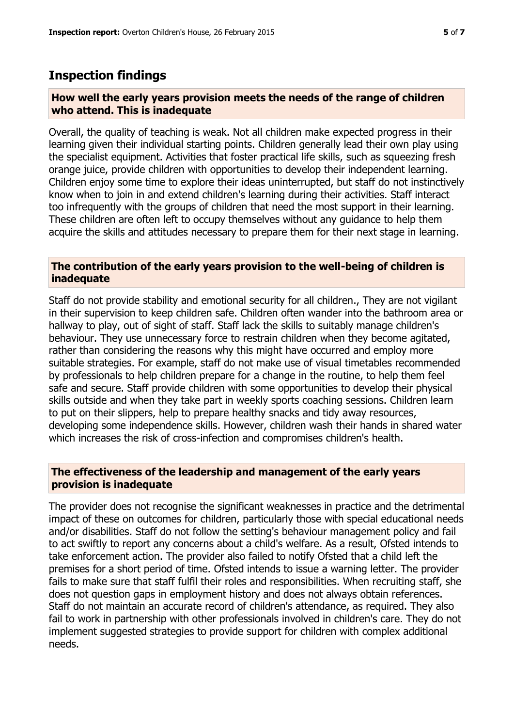## **Inspection findings**

#### **How well the early years provision meets the needs of the range of children who attend. This is inadequate**

Overall, the quality of teaching is weak. Not all children make expected progress in their learning given their individual starting points. Children generally lead their own play using the specialist equipment. Activities that foster practical life skills, such as squeezing fresh orange juice, provide children with opportunities to develop their independent learning. Children enjoy some time to explore their ideas uninterrupted, but staff do not instinctively know when to join in and extend children's learning during their activities. Staff interact too infrequently with the groups of children that need the most support in their learning. These children are often left to occupy themselves without any guidance to help them acquire the skills and attitudes necessary to prepare them for their next stage in learning.

#### **The contribution of the early years provision to the well-being of children is inadequate**

Staff do not provide stability and emotional security for all children., They are not vigilant in their supervision to keep children safe. Children often wander into the bathroom area or hallway to play, out of sight of staff. Staff lack the skills to suitably manage children's behaviour. They use unnecessary force to restrain children when they become agitated, rather than considering the reasons why this might have occurred and employ more suitable strategies. For example, staff do not make use of visual timetables recommended by professionals to help children prepare for a change in the routine, to help them feel safe and secure. Staff provide children with some opportunities to develop their physical skills outside and when they take part in weekly sports coaching sessions. Children learn to put on their slippers, help to prepare healthy snacks and tidy away resources, developing some independence skills. However, children wash their hands in shared water which increases the risk of cross-infection and compromises children's health.

#### **The effectiveness of the leadership and management of the early years provision is inadequate**

The provider does not recognise the significant weaknesses in practice and the detrimental impact of these on outcomes for children, particularly those with special educational needs and/or disabilities. Staff do not follow the setting's behaviour management policy and fail to act swiftly to report any concerns about a child's welfare. As a result, Ofsted intends to take enforcement action. The provider also failed to notify Ofsted that a child left the premises for a short period of time. Ofsted intends to issue a warning letter. The provider fails to make sure that staff fulfil their roles and responsibilities. When recruiting staff, she does not question gaps in employment history and does not always obtain references. Staff do not maintain an accurate record of children's attendance, as required. They also fail to work in partnership with other professionals involved in children's care. They do not implement suggested strategies to provide support for children with complex additional needs.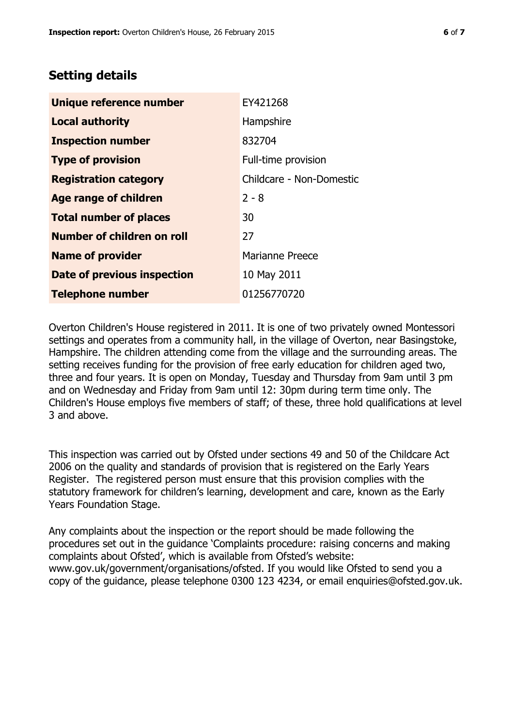## **Setting details**

| Unique reference number       | EY421268                 |  |
|-------------------------------|--------------------------|--|
| <b>Local authority</b>        | Hampshire                |  |
| <b>Inspection number</b>      | 832704                   |  |
| <b>Type of provision</b>      | Full-time provision      |  |
| <b>Registration category</b>  | Childcare - Non-Domestic |  |
| Age range of children         | $2 - 8$                  |  |
| <b>Total number of places</b> | 30                       |  |
| Number of children on roll    | 27                       |  |
| <b>Name of provider</b>       | Marianne Preece          |  |
| Date of previous inspection   | 10 May 2011              |  |
| <b>Telephone number</b>       | 01256770720              |  |

Overton Children's House registered in 2011. It is one of two privately owned Montessori settings and operates from a community hall, in the village of Overton, near Basingstoke, Hampshire. The children attending come from the village and the surrounding areas. The setting receives funding for the provision of free early education for children aged two, three and four years. It is open on Monday, Tuesday and Thursday from 9am until 3 pm and on Wednesday and Friday from 9am until 12: 30pm during term time only. The Children's House employs five members of staff; of these, three hold qualifications at level 3 and above.

This inspection was carried out by Ofsted under sections 49 and 50 of the Childcare Act 2006 on the quality and standards of provision that is registered on the Early Years Register. The registered person must ensure that this provision complies with the statutory framework for children's learning, development and care, known as the Early Years Foundation Stage.

Any complaints about the inspection or the report should be made following the procedures set out in the guidance 'Complaints procedure: raising concerns and making complaints about Ofsted', which is available from Ofsted's website: www.gov.uk/government/organisations/ofsted. If you would like Ofsted to send you a copy of the guidance, please telephone 0300 123 4234, or email enquiries@ofsted.gov.uk.